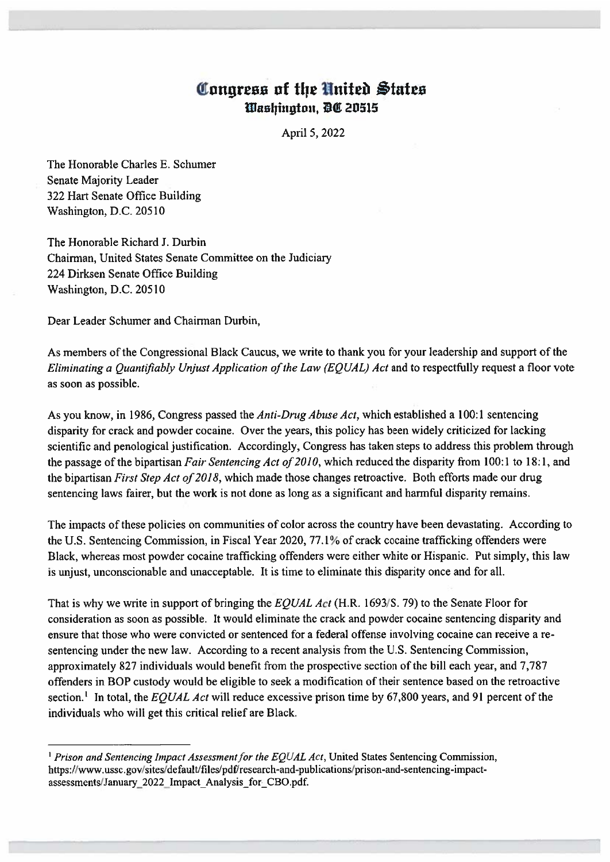## Congress of the United States Washington, DC 20515

April 5, 2022

The Honorable Charles E. Schumer Senate Majority Leader 322 Hart Senate Office Building Washington, D.C. 20510

The Honorable Richard J. Durbin Chairman, United States Senate Committee on the Judiciary 224 Dirksen Senate Office Building Washington, D.C. 20510

Dear Leader Schumer and Chairman Durbin.

As members of the Congressional Black Caucus, we write to thank you for your leadership and support of the Eliminating a Quantifiably Unjust Application of the Law (EQUAL) Act and to respectfully request a floor vote as soon as possible.

As you know, in 1986, Congress passed the *Anti-Drug Abuse Act*, which established a 100:1 sentencing disparity for crack and powder cocaine. Over the years, this policy has been widely criticized for lacking scientific and penological justification. Accordingly, Congress has taken steps to address this problem through the passage of the bipartisan Fair Sentencing Act of 2010, which reduced the disparity from 100:1 to 18:1, and the bipartisan First Step Act of 2018, which made those changes retroactive. Both efforts made our drug sentencing laws fairer, but the work is not done as long as a significant and harmful disparity remains.

The impacts of these policies on communities of color across the country have been devastating. According to the U.S. Sentencing Commission, in Fiscal Year 2020, 77.1% of crack cocaine trafficking offenders were Black, whereas most powder cocaine trafficking offenders were either white or Hispanic. Put simply, this law is unjust, unconscionable and unacceptable. It is time to eliminate this disparity once and for all.

That is why we write in support of bringing the EOUAL Act (H.R. 1693/S. 79) to the Senate Floor for consideration as soon as possible. It would eliminate the crack and powder cocaine sentencing disparity and ensure that those who were convicted or sentenced for a federal offense involving cocaine can receive a resentencing under the new law. According to a recent analysis from the U.S. Sentencing Commission, approximately 827 individuals would benefit from the prospective section of the bill each year, and 7,787 offenders in BOP custody would be eligible to seek a modification of their sentence based on the retroactive section.<sup>1</sup> In total, the EQUAL Act will reduce excessive prison time by 67,800 years, and 91 percent of the individuals who will get this critical relief are Black.

<sup>&</sup>lt;sup>1</sup> Prison and Sentencing Impact Assessment for the EQUAL Act, United States Sentencing Commission, https://www.ussc.gov/sites/default/files/pdf/research-and-publications/prison-and-sentencing-impactassessments/January 2022 Impact Analysis for CBO.pdf.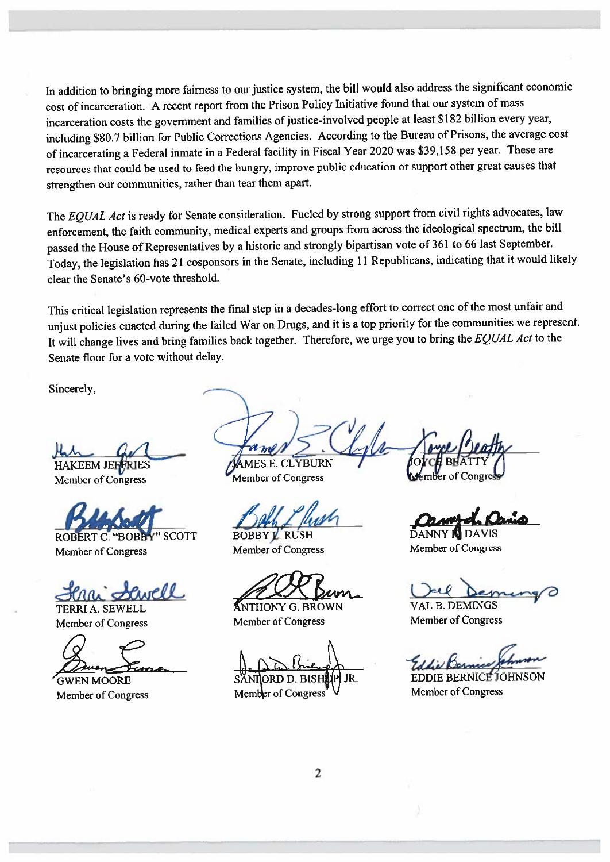In addition to bringing more fairness to our justice system, the bill would also address the significant economic cost of incarceration. A recent report from the Prison Policy Initiative found that our system of mass incarceration costs the government and families of justice-involved people at least \$182 billion every year, including \$80.7 billion for Public Corrections Agencies. According to the Bureau of Prisons, the average cost of incarcerating a Federal inmate in a Federal facility in Fiscal Year 2020 was \$39,158 per year. These are resources that could be used to feed the hungry, improve public education or support other great causes that strengthen our communities, rather than tear them apart.

The EQUAL Act is ready for Senate consideration. Fueled by strong support from civil rights advocates, law enforcement, the faith community, medical experts and groups from across the ideological spectrum, the bill passed the House of Representatives by a historic and strongly bipartisan vote of 361 to 66 last September. Today, the legislation has 21 cosponsors in the Senate, including 11 Republicans, indicating that it would likely clear the Senate's 60-vote threshold.

This critical legislation represents the final step in a decades-long effort to correct one of the most unfair and unjust policies enacted during the failed War on Drugs, and it is a top priority for the communities we represent. It will change lives and bring families back together. Therefore, we urge you to bring the EQUAL Act to the Senate floor for a vote without delay.

Sincerely,

**HAKEEM JEFFRIES** 

Member of Congress

ROBERT C. "BOBBY" SCOTT Member of Congress

ell

**TERRI A. SEWELL** Member of Congress

**GWEN MOORE** Member of Congress

**MES E. CLYBURN** Member of Congress

**BOBBY L. RUSH** Member of Congress

**ANTHONY G. BROWN** Member of Congress

JR.

Member of Congress

**DAVIS** 

Member of Congress

**VAL B. DEMINGS** 

Member of Congress

**EDDIE BERNICE JOHNSON Member of Congress**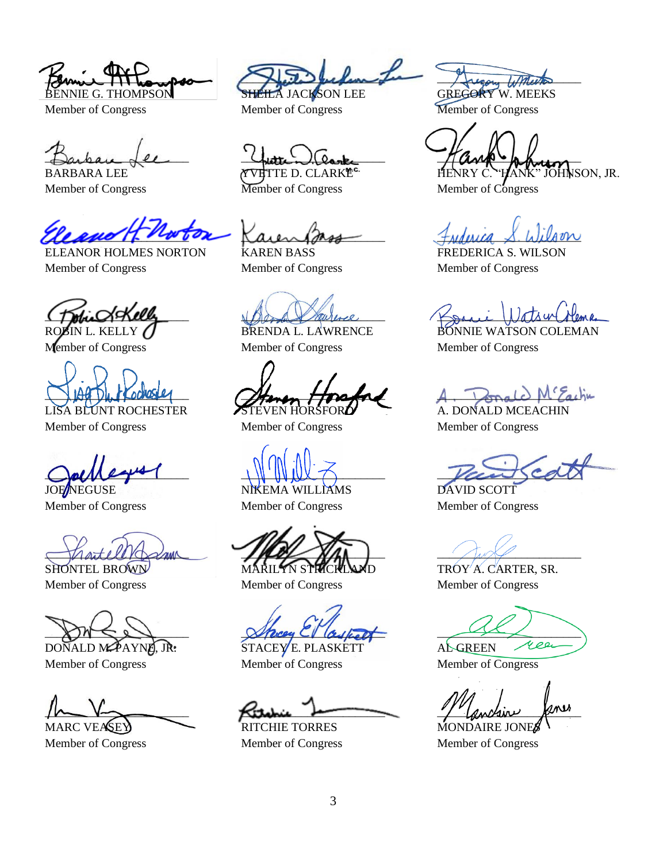$H_{\text{max}}$ BENNIE G. THOMPSON

Member of Congress

 $\Box$ arben  $\overline{\mathcal{A}}$ er BARBARA LEE

Member of Congress

leave 1 not

ELEANOR HOLMES NORTON Member of Congress

 $\omega$ dk $\omega$ 

ROBIN L. KELLY Member of Congress

 $\Box$   $\Box$   $\Box$   $\Box$   $\Box$   $\Box$   $\Box$   $\Box$ 

LISA BLUNT ROCHESTER Member of Congress

 $Quh$ **JOE**NEGUSE

Member of Congress

MartellVoschun

SHONTEL BROWN Member of Congress

 $24$ 

DONALD MAPAYNE, JR. Member of Congress

 $\mu$ MARC VEASEY

Member of Congress

marile becken HEILA JACKSON LEE

Member of Congress

 $U_{\text{other}}$   $(0_{\text{one}})$ 

YVETTE D. CLARKE<sup>c.</sup> Member of Congress

 $\chi$ aien pass KAREN BASS

Member of Congress

Maga aureree

BRENDA L. LAWRENCE Member of Congress

Henen Horstad TEVEN HORSFOR**A** 

Member of Congress

\_\_\_\_\_\_\_\_\_\_\_\_\_\_\_\_\_\_\_\_\_\_\_\_

NIKEMA WILLIAMS Member of Congress

 $M$ MARILYN STRICKI

Member of Congress

Sherey Clasket

STACEY E. PLASKETT Member of Congress

 $\overline{\mathcal{K}}$ itchic bermanning

RITCHIE TORRES Member of Congress

recom With

GREGORY W. MEEKS Member of Congress

 $M$ and  $\bullet$  la hera HENRY C. "HANK" JOHNSON, JR.

Member of Congress

 $H$ *Mouca*  $\lambda$  *Wilson* 

FREDERICA S. WILSON Member of Congress

 $\prod_{i=1}^{n}$ 

BONNIE WATSON COLEMAN Member of Congress

 ${}^c\mathcal{F}_{\alpha\iota}\mathfrak{h}\mathfrak{u}$ 

A. DONALD MCEACHIN Member of Congress

Vacascal

DAVID SCOTT Member of Congress

 $\sim$   $\sim$   $\sim$ 

TROY A. CARTER, SR. Member of Congress

 $\overline{\phantom{a}}$ yee AL GREEN

Member of Congress

1 Cencline Romer

MONDAIRE JONES Member of Congress